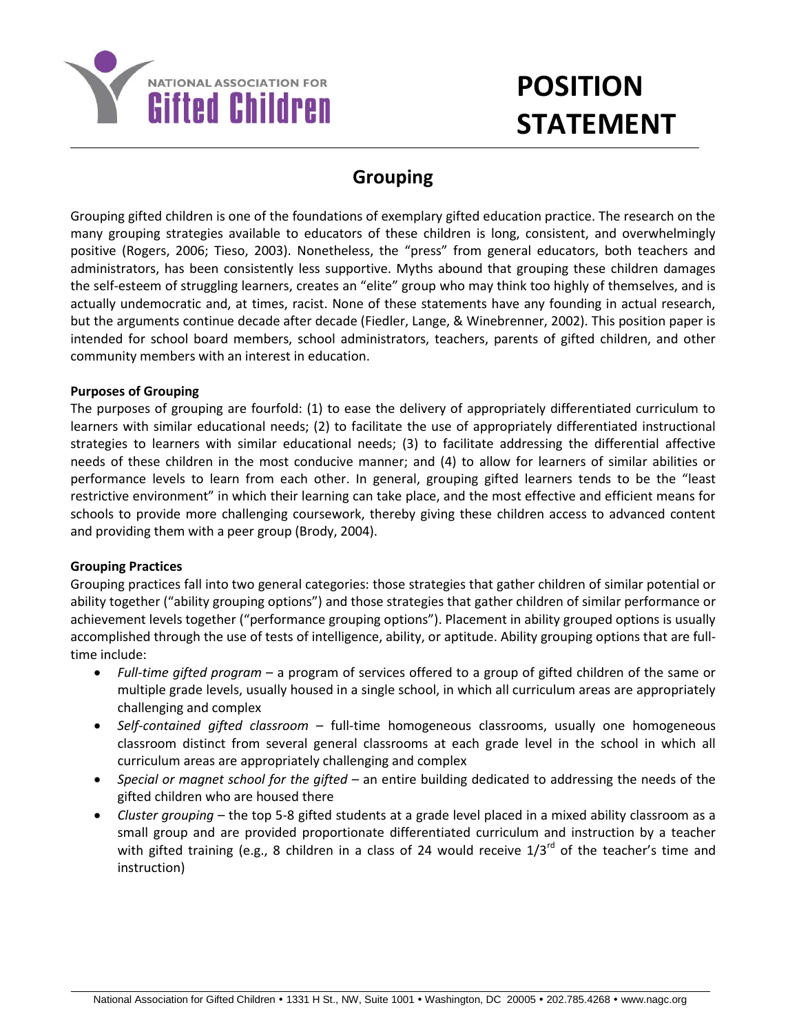

# **POSITION STATEMENT**

# **Grouping**

Grouping gifted children is one of the foundations of exemplary gifted education practice. The research on the many grouping strategies available to educators of these children is long, consistent, and overwhelmingly positive (Rogers, 2006; Tieso, 2003). Nonetheless, the "press" from general educators, both teachers and administrators, has been consistently less supportive. Myths abound that grouping these children damages the self-esteem of struggling learners, creates an "elite" group who may think too highly of themselves, and is actually undemocratic and, at times, racist. None of these statements have any founding in actual research, but the arguments continue decade after decade (Fiedler, Lange, & Winebrenner, 2002). This position paper is intended for school board members, school administrators, teachers, parents of gifted children, and other community members with an interest in education.

## **Purposes of Grouping**

The purposes of grouping are fourfold: (1) to ease the delivery of appropriately differentiated curriculum to learners with similar educational needs; (2) to facilitate the use of appropriately differentiated instructional strategies to learners with similar educational needs; (3) to facilitate addressing the differential affective needs of these children in the most conducive manner; and (4) to allow for learners of similar abilities or performance levels to learn from each other. In general, grouping gifted learners tends to be the "least restrictive environment" in which their learning can take place, and the most effective and efficient means for schools to provide more challenging coursework, thereby giving these children access to advanced content and providing them with a peer group (Brody, 2004).

## **Grouping Practices**

Grouping practices fall into two general categories: those strategies that gather children of similar potential or ability together ("ability grouping options") and those strategies that gather children of similar performance or achievement levels together ("performance grouping options"). Placement in ability grouped options is usually accomplished through the use of tests of intelligence, ability, or aptitude. Ability grouping options that are fulltime include:

- *Full-time gifted program* a program of services offered to a group of gifted children of the same or multiple grade levels, usually housed in a single school, in which all curriculum areas are appropriately challenging and complex
- *Self-contained gifted classroom* full-time homogeneous classrooms, usually one homogeneous classroom distinct from several general classrooms at each grade level in the school in which all curriculum areas are appropriately challenging and complex
- *Special or magnet school for the gifted* an entire building dedicated to addressing the needs of the gifted children who are housed there
- *Cluster grouping* the top 5-8 gifted students at a grade level placed in a mixed ability classroom as a small group and are provided proportionate differentiated curriculum and instruction by a teacher with gifted training (e.g., 8 children in a class of 24 would receive  $1/3^{rd}$  of the teacher's time and instruction)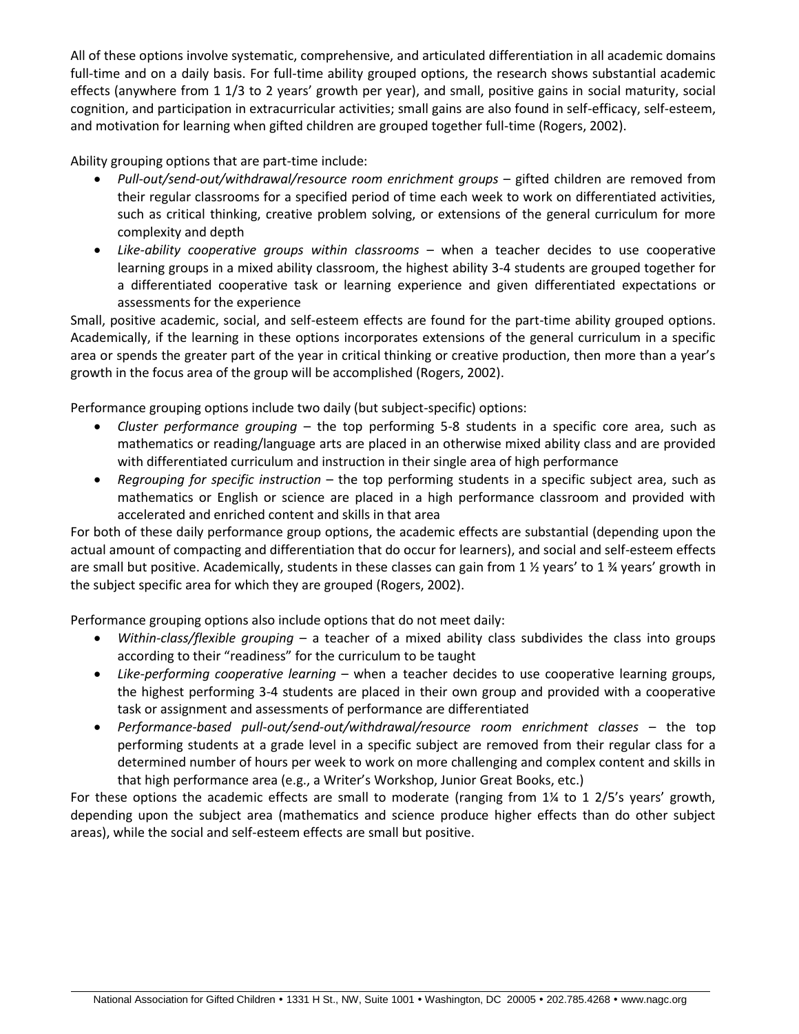All of these options involve systematic, comprehensive, and articulated differentiation in all academic domains full-time and on a daily basis. For full-time ability grouped options, the research shows substantial academic effects (anywhere from 1 1/3 to 2 years' growth per year), and small, positive gains in social maturity, social cognition, and participation in extracurricular activities; small gains are also found in self-efficacy, self-esteem, and motivation for learning when gifted children are grouped together full-time (Rogers, 2002).

Ability grouping options that are part-time include:

- *Pull-out/send-out/withdrawal/resource room enrichment groups* gifted children are removed from their regular classrooms for a specified period of time each week to work on differentiated activities, such as critical thinking, creative problem solving, or extensions of the general curriculum for more complexity and depth
- *Like-ability cooperative groups within classrooms* when a teacher decides to use cooperative learning groups in a mixed ability classroom, the highest ability 3-4 students are grouped together for a differentiated cooperative task or learning experience and given differentiated expectations or assessments for the experience

Small, positive academic, social, and self-esteem effects are found for the part-time ability grouped options. Academically, if the learning in these options incorporates extensions of the general curriculum in a specific area or spends the greater part of the year in critical thinking or creative production, then more than a year's growth in the focus area of the group will be accomplished (Rogers, 2002).

Performance grouping options include two daily (but subject-specific) options:

- *Cluster performance grouping* the top performing 5-8 students in a specific core area, such as mathematics or reading/language arts are placed in an otherwise mixed ability class and are provided with differentiated curriculum and instruction in their single area of high performance
- *Regrouping for specific instruction* the top performing students in a specific subject area, such as mathematics or English or science are placed in a high performance classroom and provided with accelerated and enriched content and skills in that area

For both of these daily performance group options, the academic effects are substantial (depending upon the actual amount of compacting and differentiation that do occur for learners), and social and self-esteem effects are small but positive. Academically, students in these classes can gain from 1  $\frac{1}{2}$  years' to 1  $\frac{3}{4}$  years' growth in the subject specific area for which they are grouped (Rogers, 2002).

Performance grouping options also include options that do not meet daily:

- *Within-class/flexible grouping* a teacher of a mixed ability class subdivides the class into groups according to their "readiness" for the curriculum to be taught
- *Like-performing cooperative learning* when a teacher decides to use cooperative learning groups, the highest performing 3-4 students are placed in their own group and provided with a cooperative task or assignment and assessments of performance are differentiated
- *Performance-based pull-out/send-out/withdrawal/resource room enrichment classes*  the top performing students at a grade level in a specific subject are removed from their regular class for a determined number of hours per week to work on more challenging and complex content and skills in that high performance area (e.g., a Writer's Workshop, Junior Great Books, etc.)

For these options the academic effects are small to moderate (ranging from 1¼ to 1 2/5's years' growth, depending upon the subject area (mathematics and science produce higher effects than do other subject areas), while the social and self-esteem effects are small but positive.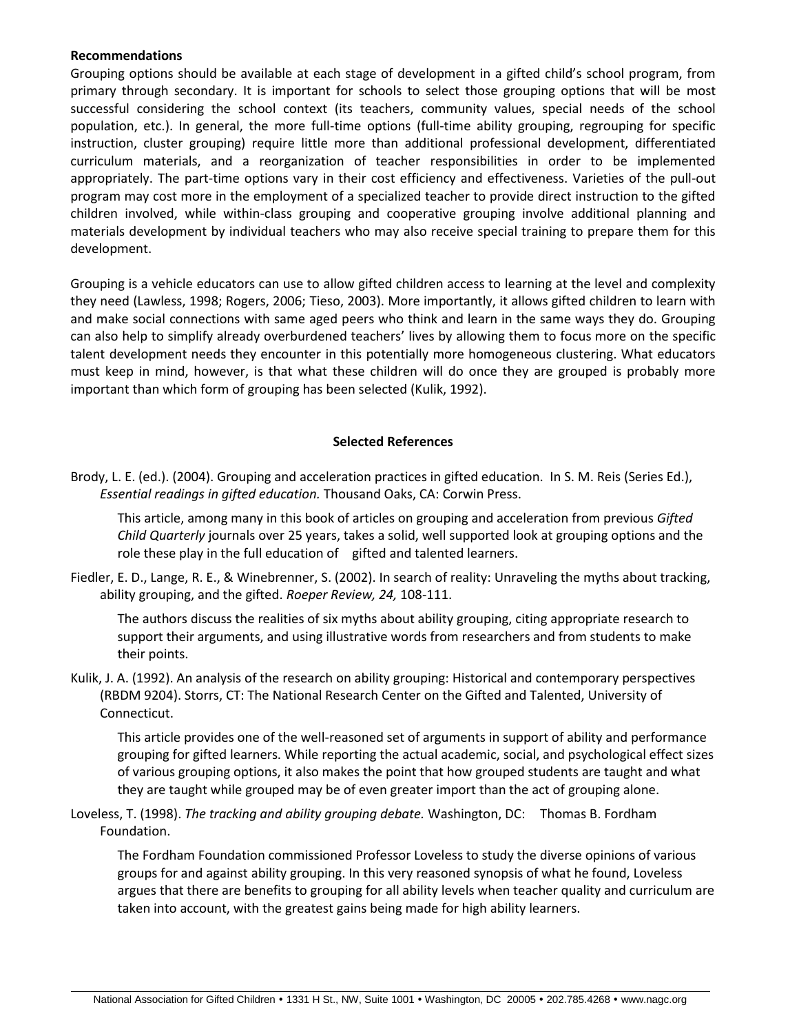#### **Recommendations**

Grouping options should be available at each stage of development in a gifted child's school program, from primary through secondary. It is important for schools to select those grouping options that will be most successful considering the school context (its teachers, community values, special needs of the school population, etc.). In general, the more full-time options (full-time ability grouping, regrouping for specific instruction, cluster grouping) require little more than additional professional development, differentiated curriculum materials, and a reorganization of teacher responsibilities in order to be implemented appropriately. The part-time options vary in their cost efficiency and effectiveness. Varieties of the pull-out program may cost more in the employment of a specialized teacher to provide direct instruction to the gifted children involved, while within-class grouping and cooperative grouping involve additional planning and materials development by individual teachers who may also receive special training to prepare them for this development.

Grouping is a vehicle educators can use to allow gifted children access to learning at the level and complexity they need (Lawless, 1998; Rogers, 2006; Tieso, 2003). More importantly, it allows gifted children to learn with and make social connections with same aged peers who think and learn in the same ways they do. Grouping can also help to simplify already overburdened teachers' lives by allowing them to focus more on the specific talent development needs they encounter in this potentially more homogeneous clustering. What educators must keep in mind, however, is that what these children will do once they are grouped is probably more important than which form of grouping has been selected (Kulik, 1992).

## **Selected References**

Brody, L. E. (ed.). (2004). Grouping and acceleration practices in gifted education. In S. M. Reis (Series Ed.), *Essential readings in gifted education.* Thousand Oaks, CA: Corwin Press.

This article, among many in this book of articles on grouping and acceleration from previous *Gifted Child Quarterly* journals over 25 years, takes a solid, well supported look at grouping options and the role these play in the full education of gifted and talented learners.

Fiedler, E. D., Lange, R. E., & Winebrenner, S. (2002). In search of reality: Unraveling the myths about tracking, ability grouping, and the gifted. *Roeper Review, 24,* 108-111.

The authors discuss the realities of six myths about ability grouping, citing appropriate research to support their arguments, and using illustrative words from researchers and from students to make their points.

Kulik, J. A. (1992). An analysis of the research on ability grouping: Historical and contemporary perspectives (RBDM 9204). Storrs, CT: The National Research Center on the Gifted and Talented, University of Connecticut.

This article provides one of the well-reasoned set of arguments in support of ability and performance grouping for gifted learners. While reporting the actual academic, social, and psychological effect sizes of various grouping options, it also makes the point that how grouped students are taught and what they are taught while grouped may be of even greater import than the act of grouping alone.

Loveless, T. (1998). *The tracking and ability grouping debate.* Washington, DC: Thomas B. Fordham Foundation.

The Fordham Foundation commissioned Professor Loveless to study the diverse opinions of various groups for and against ability grouping. In this very reasoned synopsis of what he found, Loveless argues that there are benefits to grouping for all ability levels when teacher quality and curriculum are taken into account, with the greatest gains being made for high ability learners.